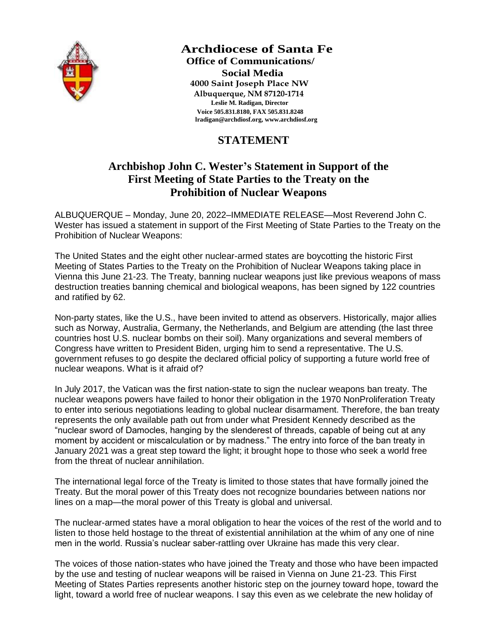

 **Archdiocese of Santa Fe Office of Communications/ Social Media 4000 Saint Joseph Place NW Albuquerque, NM 87120-1714 Leslie M. Radigan, Director Voice 505.831.8180, FAX 505.831.8248 [lradigan@archdiosf.org,](mailto:cradigan@archdiosf.org) [www.archdiosf.org](http://www.archdiosf.org/)**

## **STATEMENT**

## **Archbishop John C. Wester's Statement in Support of the First Meeting of State Parties to the Treaty on the Prohibition of Nuclear Weapons**

ALBUQUERQUE – Monday, June 20, 2022–IMMEDIATE RELEASE—Most Reverend John C. Wester has issued a statement in support of the First Meeting of State Parties to the Treaty on the Prohibition of Nuclear Weapons:

The United States and the eight other nuclear-armed states are boycotting the historic First Meeting of States Parties to the Treaty on the Prohibition of Nuclear Weapons taking place in Vienna this June 21-23. The Treaty, banning nuclear weapons just like previous weapons of mass destruction treaties banning chemical and biological weapons, has been signed by 122 countries and ratified by 62.

Non-party states, like the U.S., have been invited to attend as observers. Historically, major allies such as Norway, Australia, Germany, the Netherlands, and Belgium are attending (the last three countries host U.S. nuclear bombs on their soil). Many organizations and several members of Congress have written to President Biden, urging him to send a representative. The U.S. government refuses to go despite the declared official policy of supporting a future world free of nuclear weapons. What is it afraid of?

In July 2017, the Vatican was the first nation-state to sign the nuclear weapons ban treaty. The nuclear weapons powers have failed to honor their obligation in the 1970 NonProliferation Treaty to enter into serious negotiations leading to global nuclear disarmament. Therefore, the ban treaty represents the only available path out from under what President Kennedy described as the "nuclear sword of Damocles, hanging by the slenderest of threads, capable of being cut at any moment by accident or miscalculation or by madness." The entry into force of the ban treaty in January 2021 was a great step toward the light; it brought hope to those who seek a world free from the threat of nuclear annihilation.

The international legal force of the Treaty is limited to those states that have formally joined the Treaty. But the moral power of this Treaty does not recognize boundaries between nations nor lines on a map—the moral power of this Treaty is global and universal.

The nuclear-armed states have a moral obligation to hear the voices of the rest of the world and to listen to those held hostage to the threat of existential annihilation at the whim of any one of nine men in the world. Russia's nuclear saber-rattling over Ukraine has made this very clear.

The voices of those nation-states who have joined the Treaty and those who have been impacted by the use and testing of nuclear weapons will be raised in Vienna on June 21-23. This First Meeting of States Parties represents another historic step on the journey toward hope, toward the light, toward a world free of nuclear weapons. I say this even as we celebrate the new holiday of